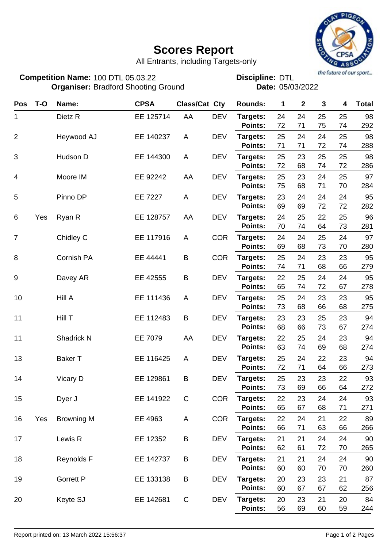## **Scores Report**



All Entrants, including Targets-only

the future of our sport...

| Competition Name: 100 DTL 05.03.22<br><b>Organiser: Bradford Shooting Ground</b> |       |                    |             |                      | the future of our sport<br><b>Discipline: DTL</b><br>Date: 05/03/2022 |                            |          |              |          |          |              |
|----------------------------------------------------------------------------------|-------|--------------------|-------------|----------------------|-----------------------------------------------------------------------|----------------------------|----------|--------------|----------|----------|--------------|
| <b>Pos</b>                                                                       | $T-O$ | Name:              | <b>CPSA</b> | <b>Class/Cat Cty</b> |                                                                       | <b>Rounds:</b>             | 1        | $\mathbf{2}$ | 3        | 4        | <b>Total</b> |
| 1                                                                                |       | Dietz <sub>R</sub> | EE 125714   | AA                   | <b>DEV</b>                                                            | Targets:<br><b>Points:</b> | 24<br>72 | 24<br>71     | 25<br>75 | 25<br>74 | 98<br>292    |
| $\overline{2}$                                                                   |       | Heywood AJ         | EE 140237   | A                    | <b>DEV</b>                                                            | Targets:<br><b>Points:</b> | 25<br>71 | 24<br>71     | 24<br>72 | 25<br>74 | 98<br>288    |
| 3                                                                                |       | Hudson D           | EE 144300   | A                    | <b>DEV</b>                                                            | Targets:<br><b>Points:</b> | 25<br>72 | 23<br>68     | 25<br>74 | 25<br>72 | 98<br>286    |
| 4                                                                                |       | Moore IM           | EE 92242    | AA                   | <b>DEV</b>                                                            | Targets:<br><b>Points:</b> | 25<br>75 | 23<br>68     | 24<br>71 | 25<br>70 | 97<br>284    |
| 5                                                                                |       | Pinno DP           | EE 7227     | A                    | <b>DEV</b>                                                            | Targets:<br><b>Points:</b> | 23<br>69 | 24<br>69     | 24<br>72 | 24<br>72 | 95<br>282    |
| 6                                                                                | Yes   | Ryan R             | EE 128757   | AA                   | <b>DEV</b>                                                            | Targets:<br><b>Points:</b> | 24<br>70 | 25<br>74     | 22<br>64 | 25<br>73 | 96<br>281    |
| $\overline{7}$                                                                   |       | Chidley C          | EE 117916   | A                    | <b>COR</b>                                                            | Targets:<br><b>Points:</b> | 24<br>69 | 24<br>68     | 25<br>73 | 24<br>70 | 97<br>280    |
| 8                                                                                |       | <b>Cornish PA</b>  | EE 44441    | B                    | <b>COR</b>                                                            | Targets:<br><b>Points:</b> | 25<br>74 | 24<br>71     | 23<br>68 | 23<br>66 | 95<br>279    |
| 9                                                                                |       | Davey AR           | EE 42555    | B                    | <b>DEV</b>                                                            | Targets:<br><b>Points:</b> | 22<br>65 | 25<br>74     | 24<br>72 | 24<br>67 | 95<br>278    |
| 10                                                                               |       | Hill A             | EE 111436   | A                    | <b>DEV</b>                                                            | Targets:<br>Points:        | 25<br>73 | 24<br>68     | 23<br>66 | 23<br>68 | 95<br>275    |
| 11                                                                               |       | Hill T             | EE 112483   | B                    | <b>DEV</b>                                                            | Targets:<br><b>Points:</b> | 23<br>68 | 23<br>66     | 25<br>73 | 23<br>67 | 94<br>274    |
| 11                                                                               |       | Shadrick N         | EE 7079     | AA                   | <b>DEV</b>                                                            | Targets:<br><b>Points:</b> | 22<br>63 | 25<br>74     | 24<br>69 | 23<br>68 | 94<br>274    |
| 13                                                                               |       | <b>Baker T</b>     | EE 116425   | A                    | <b>DEV</b>                                                            | Targets:<br>Points:        | 25<br>72 | 24<br>71     | 22<br>64 | 23<br>66 | 94<br>273    |
| 14                                                                               |       | Vicary D           | EE 129861   | В                    | DEV                                                                   | Targets:<br>Points:        | 25<br>73 | 23<br>69     | 23<br>66 | 22<br>64 | 93<br>272    |
| 15                                                                               |       | Dyer J             | EE 141922   | $\mathsf C$          | <b>COR</b>                                                            | Targets:<br>Points:        | 22<br>65 | 23<br>67     | 24<br>68 | 24<br>71 | 93<br>271    |
| 16                                                                               | Yes   | <b>Browning M</b>  | EE 4963     | A                    | <b>COR</b>                                                            | Targets:<br>Points:        | 22<br>66 | 24<br>71     | 21<br>63 | 22<br>66 | 89<br>266    |
| 17                                                                               |       | Lewis R            | EE 12352    | В                    | <b>DEV</b>                                                            | Targets:<br>Points:        | 21<br>62 | 21<br>61     | 24<br>72 | 24<br>70 | 90<br>265    |
| 18                                                                               |       | Reynolds F         | EE 142737   | B                    | DEV                                                                   | Targets:<br>Points:        | 21<br>60 | 21<br>60     | 24<br>70 | 24<br>70 | 90<br>260    |
| 19                                                                               |       | <b>Gorrett P</b>   | EE 133138   | B                    | DEV                                                                   | Targets:<br>Points:        | 20<br>60 | 23<br>67     | 23<br>67 | 21<br>62 | 87<br>256    |
| 20                                                                               |       | Keyte SJ           | EE 142681   | $\mathsf C$          | <b>DEV</b>                                                            | Targets:<br>Points:        | 20<br>56 | 23<br>69     | 21<br>60 | 20<br>59 | 84<br>244    |